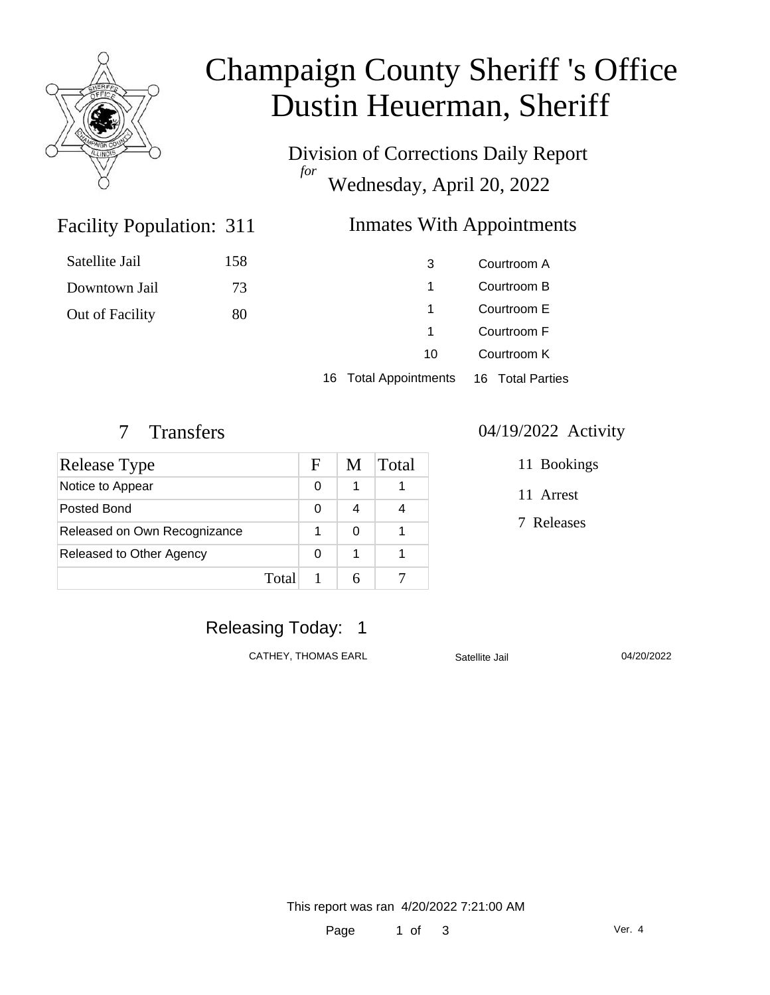

## Champaign County Sheriff 's Office Dustin Heuerman, Sheriff

Division of Corrections Daily Report *for* Wednesday, April 20, 2022

### Inmates With Appointments

| Satellite Jail  | 158 | 3  | Courtroom A |
|-----------------|-----|----|-------------|
| Downtown Jail   | 73  |    | Courtroom B |
| Out of Facility | 80  |    | Courtroom E |
|                 |     |    | Courtroom F |
|                 |     | 10 | Courtroom K |

16 Total Appointments 16 Total Parties

Facility Population: 311

| Release Type                 |       | F | M | Total |
|------------------------------|-------|---|---|-------|
| Notice to Appear             |       | 0 | 1 |       |
| Posted Bond                  |       | 0 |   |       |
| Released on Own Recognizance |       |   |   |       |
| Released to Other Agency     |       | O | 1 |       |
|                              | Total |   |   |       |

#### 7 Transfers 04/19/2022 Activity

11 Bookings

11 Arrest

7 Releases

#### Releasing Today: 1

CATHEY, THOMAS EARL Satellite Jail 04/20/2022

This report was ran 4/20/2022 7:21:00 AM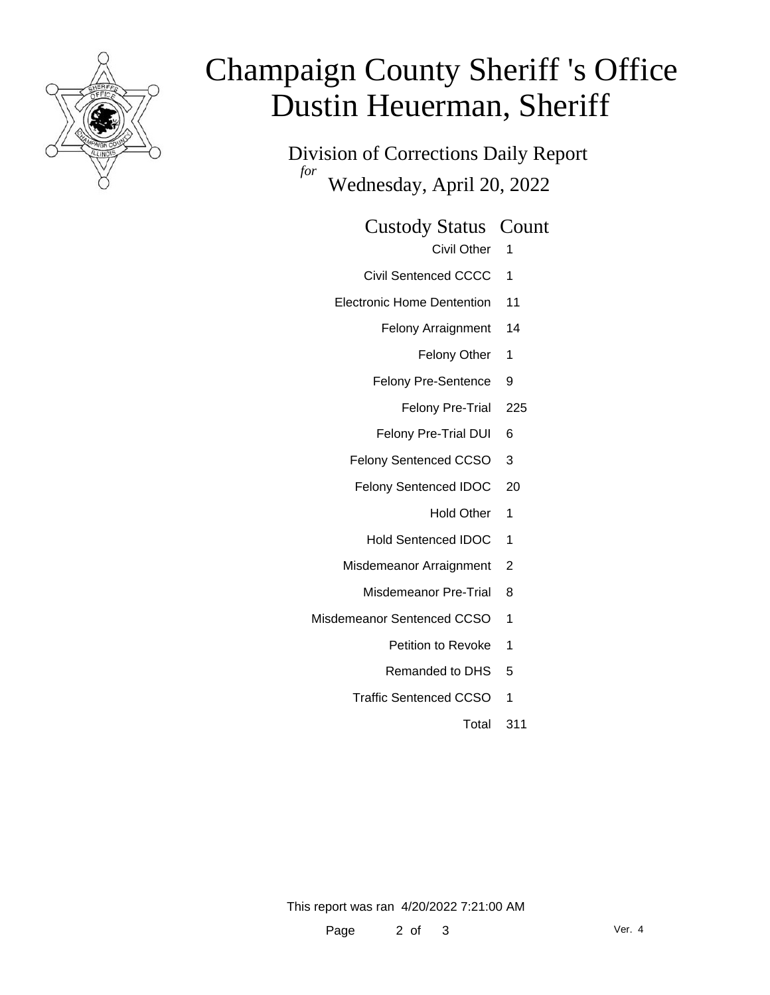

# Champaign County Sheriff 's Office Dustin Heuerman, Sheriff

Division of Corrections Daily Report *for* Wednesday, April 20, 2022

Custody Status Count

- Civil Other 1
- Civil Sentenced CCCC 1
- Electronic Home Dentention 11
	- Felony Arraignment 14
		- Felony Other 1
	- Felony Pre-Sentence 9
		- Felony Pre-Trial 225
	- Felony Pre-Trial DUI 6
	- Felony Sentenced CCSO 3
	- Felony Sentenced IDOC 20
		- Hold Other 1
		- Hold Sentenced IDOC 1
	- Misdemeanor Arraignment 2
		- Misdemeanor Pre-Trial 8
- Misdemeanor Sentenced CCSO 1
	- Petition to Revoke 1
	- Remanded to DHS 5
	- Traffic Sentenced CCSO 1
		- Total 311